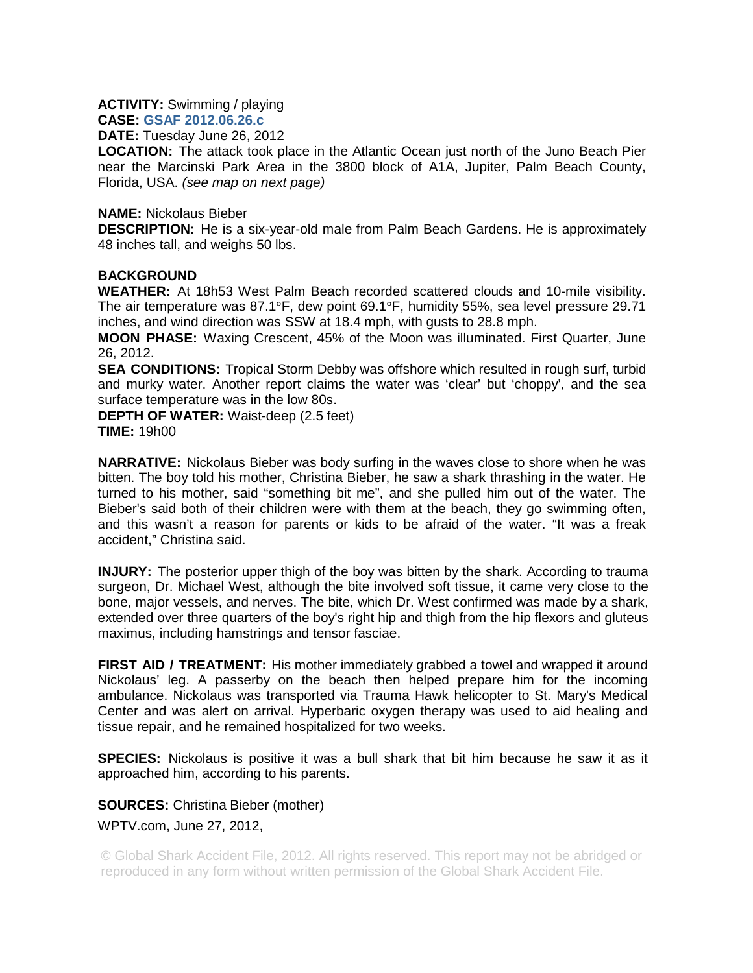**ACTIVITY:** Swimming / playing

**CASE: GSAF 2012.06.26.c**

**DATE:** Tuesday June 26, 2012

**LOCATION:** The attack took place in the Atlantic Ocean just north of the Juno Beach Pier near the Marcinski Park Area in the 3800 block of A1A, Jupiter, Palm Beach County, Florida, USA. *(see map on next page)*

## **NAME:** Nickolaus Bieber

**DESCRIPTION:** He is a six-year-old male from Palm Beach Gardens. He is approximately 48 inches tall, and weighs 50 lbs.

## **BACKGROUND**

**WEATHER:** At 18h53 West Palm Beach recorded scattered clouds and 10-mile visibility. The air temperature was 87.1°F, dew point 69.1°F, humidity 55%, sea level pressure 29.71 inches, and wind direction was SSW at 18.4 mph, with gusts to 28.8 mph.

**MOON PHASE:** Waxing Crescent, 45% of the Moon was illuminated. First Quarter, June 26, 2012.

**SEA CONDITIONS:** Tropical Storm Debby was offshore which resulted in rough surf, turbid and murky water. Another report claims the water was 'clear' but 'choppy', and the sea surface temperature was in the low 80s.

**DEPTH OF WATER:** Waist-deep (2.5 feet) **TIME:** 19h00

**NARRATIVE:** Nickolaus Bieber was body surfing in the waves close to shore when he was bitten. The boy told his mother, Christina Bieber, he saw a shark thrashing in the water. He turned to his mother, said "something bit me", and she pulled him out of the water. The Bieber's said both of their children were with them at the beach, they go swimming often, and this wasn't a reason for parents or kids to be afraid of the water. "It was a freak accident," Christina said.

**INJURY:** The posterior upper thigh of the boy was bitten by the shark. According to trauma surgeon, Dr. Michael West, although the bite involved soft tissue, it came very close to the bone, major vessels, and nerves. The bite, which Dr. West confirmed was made by a shark, extended over three quarters of the boy's right hip and thigh from the hip flexors and gluteus maximus, including hamstrings and tensor fasciae.

**FIRST AID / TREATMENT:** His mother immediately grabbed a towel and wrapped it around Nickolaus' leg. A passerby on the beach then helped prepare him for the incoming ambulance. Nickolaus was transported via Trauma Hawk helicopter to St. Mary's Medical Center and was alert on arrival. Hyperbaric oxygen therapy was used to aid healing and tissue repair, and he remained hospitalized for two weeks.

**SPECIES:** Nickolaus is positive it was a bull shark that bit him because he saw it as it approached him, according to his parents.

**SOURCES:** Christina Bieber (mother) WPTV.com, June 27, 2012,

© Global Shark Accident File, 2012. All rights reserved. This report may not be abridged or reproduced in any form without written permission of the Global Shark Accident File.